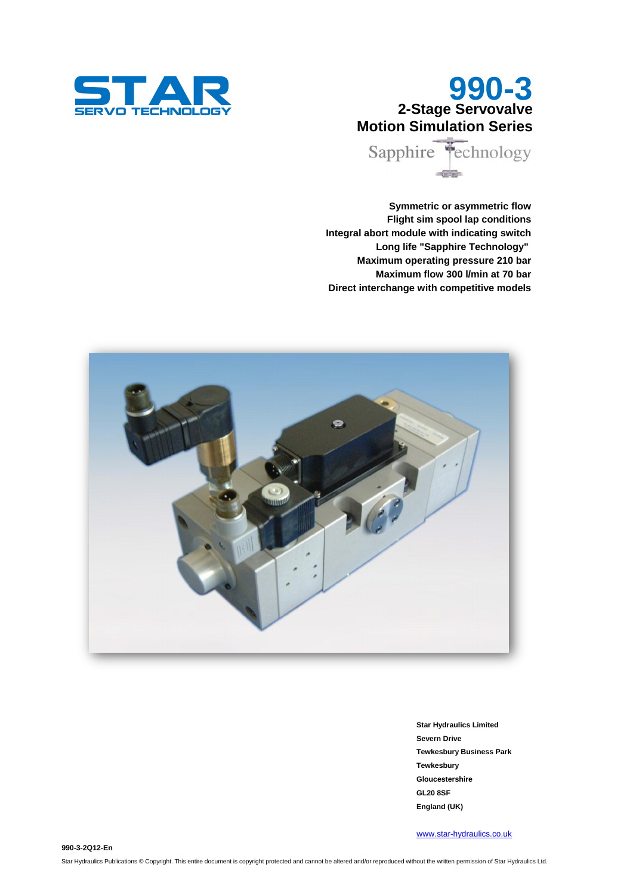

# **990-3 2-Stage Servovalve Motion Simulation Series**

Sapphire Technology  $-0$ 

**Symmetric or asymmetric flow Flight sim spool lap conditions Integral abort module with indicating switch Long life "Sapphire Technology" Maximum operating pressure 210 bar Maximum flow 300 l/min at 70 bar Direct interchange with competitive models**



**Star Hydraulics Limited Severn Drive Tewkesbury Business Park Tewkesbury Gloucestershire GL20 8SF England (UK)**

[www.star-hydraulics.co.uk](http://www.star-hydraulics.co.uk/)

**990-3-2Q12-En**

Star Hydraulics Publications © Copyright. This entire document is copyright protected and cannot be altered and/or reproduced without the written permission of Star Hydraulics Ltd.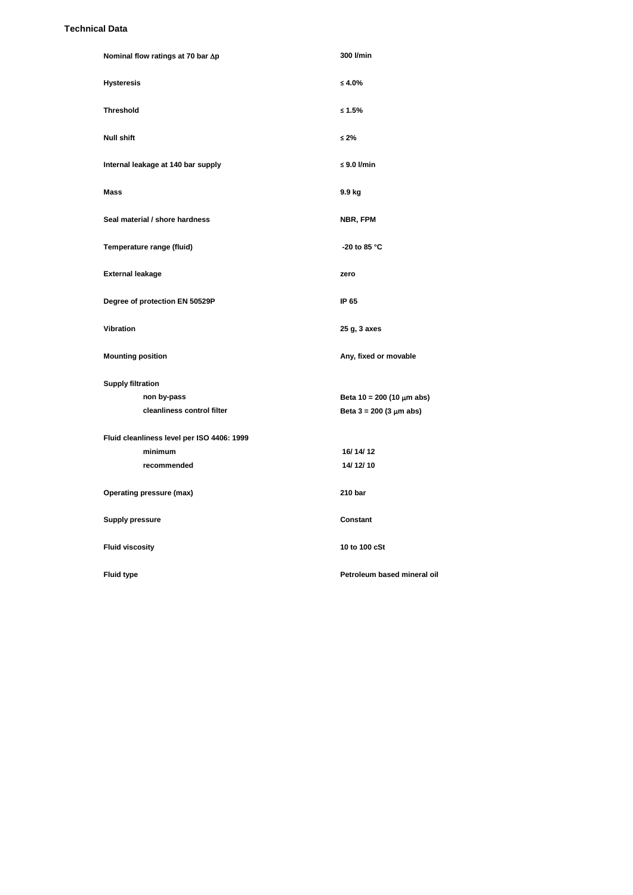#### **Technical Data**

| Nominal flow ratings at 70 bar ∆p          | 300 l/min                            |  |  |
|--------------------------------------------|--------------------------------------|--|--|
| <b>Hysteresis</b>                          | ≤ 4.0%                               |  |  |
| <b>Threshold</b>                           | $\leq 1.5\%$                         |  |  |
| <b>Null shift</b>                          | $\leq 2\%$                           |  |  |
| Internal leakage at 140 bar supply         | $\leq 9.0$ I/min                     |  |  |
| Mass                                       | 9.9 kg                               |  |  |
| Seal material / shore hardness             | NBR, FPM                             |  |  |
| Temperature range (fluid)                  | -20 to 85 °C                         |  |  |
| <b>External leakage</b>                    | zero                                 |  |  |
| Degree of protection EN 50529P             | IP 65                                |  |  |
| Vibration                                  | 25 g, 3 axes                         |  |  |
| <b>Mounting position</b>                   | Any, fixed or movable                |  |  |
| <b>Supply filtration</b>                   |                                      |  |  |
| non by-pass                                | Beta 10 = 200 (10 $\mu$ m abs)       |  |  |
| cleanliness control filter                 | Beta $3 = 200 (3 \mu m \text{ abs})$ |  |  |
| Fluid cleanliness level per ISO 4406: 1999 |                                      |  |  |
| minimum                                    | 16/14/12                             |  |  |
| recommended                                | 14/12/10                             |  |  |
| Operating pressure (max)                   | 210 bar                              |  |  |
| <b>Supply pressure</b>                     | Constant                             |  |  |
| <b>Fluid viscosity</b>                     | 10 to 100 cSt                        |  |  |
| <b>Fluid type</b>                          | Petroleum based mineral oil          |  |  |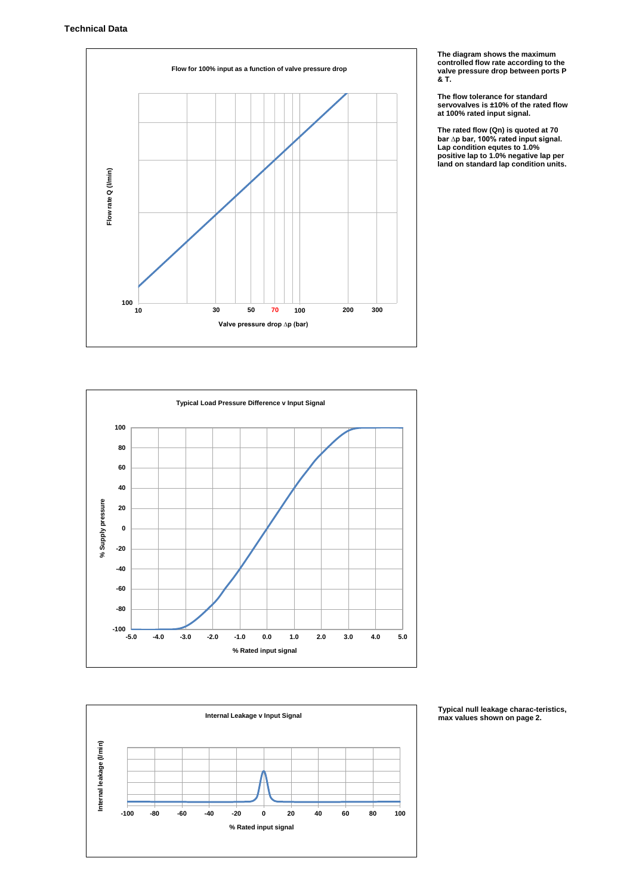

**The diagram shows the maximum controlled flow rate according to the valve pressure drop between ports P & T.**

**The flow tolerance for standard servovalves is ±10% of the rated flow at 100% rated input signal.**

**The rated flow (Qn) is quoted at 70 bar ∆p bar, 100% rated input signal. Lap condition equtes to 1.0% positive lap to 1.0% negative lap per land on standard lap condition units.**





**Typical null leakage charac-teristics, max values shown on page 2.**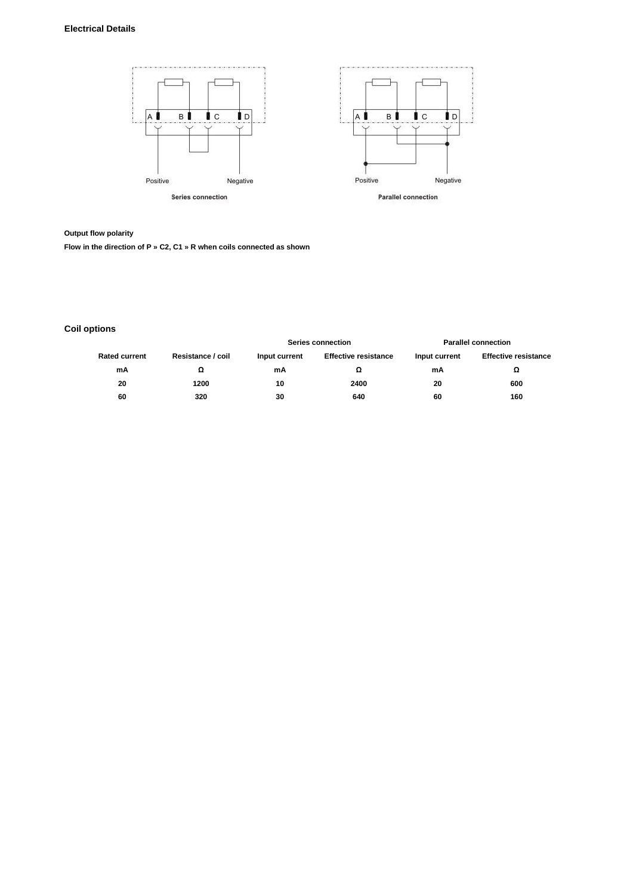## **Electrical Details**



**Output flow polarity**

**Flow in the direction of P » C2, C1 » R when coils connected as shown**

# **Coil options**

| <b>Rated current</b> | Resistance / coil | <b>Series connection</b> |                             | <b>Parallel connection</b> |                             |
|----------------------|-------------------|--------------------------|-----------------------------|----------------------------|-----------------------------|
|                      |                   | Input current            | <b>Effective resistance</b> | Input current              | <b>Effective resistance</b> |
| mA                   | Ω                 | mΑ                       |                             | mΑ                         | Ω                           |
| 20                   | 1200              | 10                       | 2400                        | 20                         | 600                         |
| 60                   | 320               | 30                       | 640                         | 60                         | 160                         |